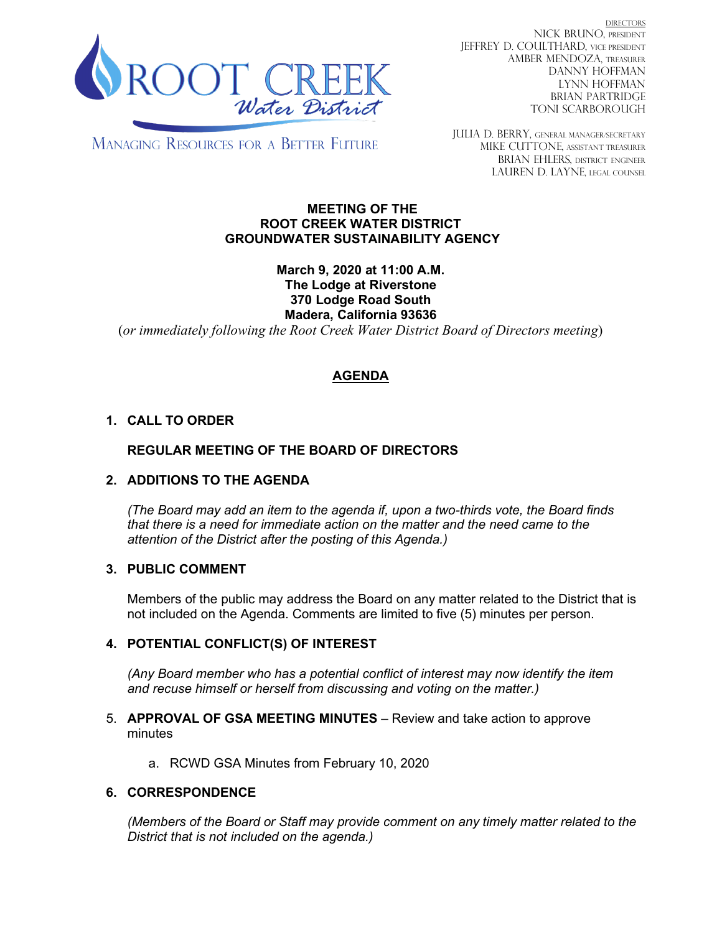

DIRECTORS NICK BRUNO, PRESIDENT JEFFREY D. COULTHARD, Vice President AMBER MENDOZA, TREASURER DANNY HOFFMAN LYNN HOFFMAN BRIAN PARTRIDGE TONI SCARBOROUGH

**MANAGING RESOURCES FOR A BETTER FUTURE** 

JULIA D. BERRY, GENERAL MANAGER/secretary MIKE CUTTONE, Assistant treasurer BRIAN EHLERS, DISTRICT ENGINEER LAUREN D. LAYNE, LEGAL COUNSEL

#### **MEETING OF THE ROOT CREEK WATER DISTRICT GROUNDWATER SUSTAINABILITY AGENCY**

**March 9, 2020 at 11:00 A.M. The Lodge at Riverstone 370 Lodge Road South Madera, California 93636**

(*or immediately following the Root Creek Water District Board of Directors meeting*)

# **AGENDA**

# **1. CALL TO ORDER**

## **REGULAR MEETING OF THE BOARD OF DIRECTORS**

## **2. ADDITIONS TO THE AGENDA**

*(The Board may add an item to the agenda if, upon a two-thirds vote, the Board finds that there is a need for immediate action on the matter and the need came to the attention of the District after the posting of this Agenda.)*

## **3. PUBLIC COMMENT**

Members of the public may address the Board on any matter related to the District that is not included on the Agenda. Comments are limited to five (5) minutes per person.

## **4. POTENTIAL CONFLICT(S) OF INTEREST**

*(Any Board member who has a potential conflict of interest may now identify the item and recuse himself or herself from discussing and voting on the matter.)*

#### 5. **APPROVAL OF GSA MEETING MINUTES** – Review and take action to approve minutes

a. RCWD GSA Minutes from February 10, 2020

#### **6. CORRESPONDENCE**

*(Members of the Board or Staff may provide comment on any timely matter related to the District that is not included on the agenda.)*